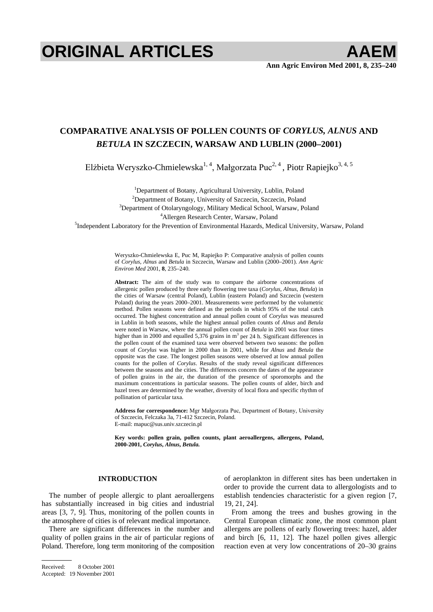# **ORIGINAL ARTICLES AAEM**

# **COMPARATIVE ANALYSIS OF POLLEN COUNTS OF** *CORYLUS, ALNUS* **AND**  *BETULA* **IN SZCZECIN, WARSAW AND LUBLIN (2000–2001)**

Elżbieta Weryszko-Chmielewska<sup>1, 4</sup>, Małgorzata Puc<sup>2, 4</sup>, Piotr Rapiejko<sup>3, 4, 5</sup>

<sup>1</sup>Department of Botany, Agricultural University, Lublin, Poland <sup>2</sup> Department of Botany, University of Szczecin, Szczecin, Poland <sup>3</sup> Department of Otoleryngology, Military Medical School, Warsaw, Po  ${}^{3}$ Department of Otolaryngology, Military Medical School, Warsaw, Poland  ${}^{4}$ Allergen Research Center, Warsaw, Poland

<sup>5</sup> Independent Laboratory for the Prevention of Environmental Hazards, Medical University, Warsaw, Poland<br><sup>5</sup> Independent Laboratory for the Prevention of Environmental Hazards, Medical University, Warsaw, Poland

Weryszko-Chmielewska E, Puc M, Rapiejko P: Comparative analysis of pollen counts of *Corylus, Alnus* and *Betula* in Szczecin, Warsaw and Lublin (2000–2001). *Ann Agric Environ Med* 2001, **8**, 235–240.

**Abstract:** The aim of the study was to compare the airborne concentrations of allergenic pollen produced by three early flowering tree taxa (*Corylus, Alnus, Betula*) in the cities of Warsaw (central Poland), Lublin (eastern Poland) and Szczecin (western Poland) during the years 2000–2001. Measurements were performed by the volumetric method. Pollen seasons were defined as the periods in which 95% of the total catch occurred. The highest concentration and annual pollen count of *Corylus* was measured in Lublin in both seasons, while the highest annual pollen counts of *Alnus* and *Betula* were noted in Warsaw, where the annual pollen count of *Betula* in 2001 was four times higher than in 2000 and equalled 5,376 grains in  $m<sup>3</sup>$  per 24 h. Significant differences in the pollen count of the examined taxa were observed between two seasons: the pollen count of *Corylus* was higher in 2000 than in 2001, while for *Alnus* and *Betula* the opposite was the case. The longest pollen seasons were observed at low annual pollen counts for the pollen of *Corylus*. Results of the study reveal significant differences between the seasons and the cities. The differences concern the dates of the appearance of pollen grains in the air, the duration of the presence of sporomorphs and the maximum concentrations in particular seasons. The pollen counts of alder, birch and hazel trees are determined by the weather, diversity of local flora and specific rhythm of pollination of particular taxa.

Address for correspondence: Mgr Małgorzata Puc, Department of Botany, University of Szczecin, Felczaka 3a, 71-412 Szczecin, Poland. E-mail: mapuc@sus.univ.szczecin.pl

**Key words: pollen grain, pollen counts, plant aeroallergens, allergens, Poland, 2000-2001,** *Corylus***,** *Alnus***,** *Betula.* 

## **INTRODUCTION**

The number of people allergic to plant aeroallergens has substantially increased in big cities and industrial areas [3, 7, 9]. Thus, monitoring of the pollen counts in the atmosphere of cities is of relevant medical importance.

There are significant differences in the number and quality of pollen grains in the air of particular regions of Poland. Therefore, long term monitoring of the composition of aeroplankton in different sites has been undertaken in order to provide the current data to allergologists and to establish tendencies characteristic for a given region [7, 19, 21, 24].

From among the trees and bushes growing in the Central European climatic zone, the most common plant allergens are pollens of early flowering trees: hazel, alder and birch [6, 11, 12]. The hazel pollen gives allergic reaction even at very low concentrations of 20–30 grains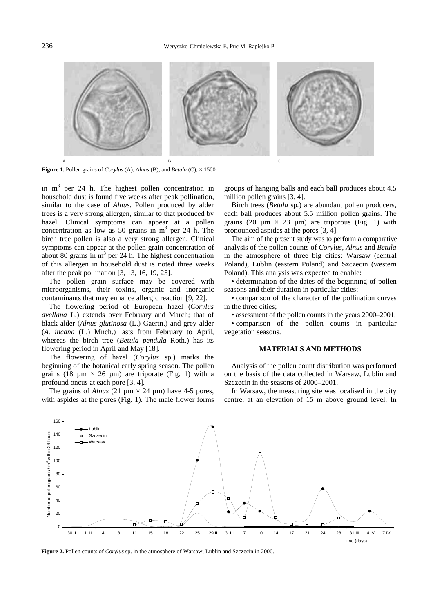

**Figure 1.** Pollen grains of *Corylus* (A), *Alnus* (B), and *Betula* (C), × 1500.

in  $m<sup>3</sup>$  per 24 h. The highest pollen concentration in household dust is found five weeks after peak pollination, similar to the case of *Alnus.* Pollen produced by alder trees is a very strong allergen, similar to that produced by hazel. Clinical symptoms can appear at a pollen concentration as low as 50 grains in  $m<sup>3</sup>$  per 24 h. The birch tree pollen is also a very strong allergen. Clinical symptoms can appear at the pollen grain concentration of about 80 grains in  $m<sup>3</sup>$  per 24 h. The highest concentration of this allergen in household dust is noted three weeks after the peak pollination [3, 13, 16, 19, 25].

The pollen grain surface may be covered with microorganisms, their toxins, organic and inorganic contaminants that may enhance allergic reaction [9, 22].

The flowering period of European hazel (*Corylus avellana* L.) extends over February and March; that of black alder (*Alnus glutinosa* (L.) Gaertn.) and grey alder (*A. incana* (L.) Mnch.) lasts from February to April, whereas the birch tree (*Betula pendula* Roth.) has its flowering period in April and May [18].

The flowering of hazel (*Corylus* sp.) marks the beginning of the botanical early spring season. The pollen grains (18  $\mu$ m × 26  $\mu$ m) are triporate (Fig. 1) with a profound oncus at each pore [3, 4].

The grains of *Alnus* (21  $\mu$ m  $\times$  24  $\mu$ m) have 4-5 pores, with aspides at the pores (Fig. 1). The male flower forms

groups of hanging balls and each ball produces about 4.5 million pollen grains [3, 4].

Birch trees (*Betula* sp*.*) are abundant pollen producers, each ball produces about 5.5 million pollen grains. The grains (20  $\mu$ m  $\times$  23  $\mu$ m) are triporous (Fig. 1) with pronounced aspides at the pores [3, 4].

The aim of the present study was to perform a comparative analysis of the pollen counts of *Corylus, Alnus* and *Betula*  in the atmosphere of three big cities: Warsaw (central Poland), Lublin (eastern Poland) and Szczecin (western Poland). This analysis was expected to enable:

• determination of the dates of the beginning of pollen seasons and their duration in particular cities;

• comparison of the character of the pollination curves in the three cities;

• assessment of the pollen counts in the years 2000–2001;

• comparison of the pollen counts in particular vegetation seasons.

#### **MATERIALS AND METHODS**

Analysis of the pollen count distribution was performed on the basis of the data collected in Warsaw, Lublin and Szczecin in the seasons of 2000–2001.

In Warsaw, the measuring site was localised in the city centre, at an elevation of 15 m above ground level. In



**Figure 2.** Pollen counts of *Corylus* sp. in the atmosphere of Warsaw, Lublin and Szczecin in 2000.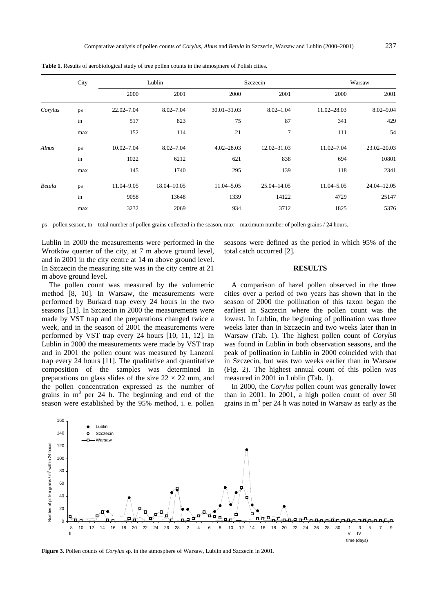|         | City | Lublin         |               | Szczecin       |                 | Warsaw         |                 |
|---------|------|----------------|---------------|----------------|-----------------|----------------|-----------------|
|         |      | 2000           | 2001          | 2000           | 2001            | 2000           | 2001            |
| Corylus | ps   | $22.02 - 7.04$ | $8.02 - 7.04$ | 30.01-31.03    | $8.02 - 1.04$   | 11.02-28.03    | $8.02 - 9.04$   |
|         | tn   | 517            | 823           | 75             | 87              | 341            | 429             |
|         | max  | 152            | 114           | 21             | 7               | 111            | 54              |
| Alnus   | ps   | $10.02 - 7.04$ | $8.02 - 7.04$ | $4.02 - 28.03$ | $12.02 - 31.03$ | $11.02 - 7.04$ | $23.02 - 20.03$ |
|         | tn   | 1022           | 6212          | 621            | 838             | 694            | 10801           |
|         | max  | 145            | 1740          | 295            | 139             | 118            | 2341            |
| Betula  | ps   | 11.04-9.05     | 18.04-10.05   | 11.04-5.05     | 25.04-14.05     | 11.04-5.05     | $24.04 - 12.05$ |
|         | tn   | 9058           | 13648         | 1339           | 14122           | 4729           | 25147           |
|         | max  | 3232           | 2069          | 934            | 3712            | 1825           | 5376            |

**Table 1.** Results of aerobiological study of tree pollen counts in the atmosphere of Polish cities.

ps – pollen season, tn – total number of pollen grains collected in the season, max – maximum number of pollen grains / 24 hours.

Lublin in 2000 the measurements were performed in the Wrotków quarter of the city, at 7 m above ground level, and in 2001 in the city centre at 14 m above ground level. In Szczecin the measuring site was in the city centre at 21 m above ground level.

The pollen count was measured by the volumetric method [8, 10]. In Warsaw, the measurements were performed by Burkard trap every 24 hours in the two seasons [11]. In Szczecin in 2000 the measurements were made by VST trap and the preparations changed twice a week, and in the season of 2001 the measurements were performed by VST trap every 24 hours [10, 11, 12]. In Lublin in 2000 the measurements were made by VST trap and in 2001 the pollen count was measured by Lanzoni trap every 24 hours [11]. The qualitative and quantitative composition of the samples was determined in preparations on glass slides of the size  $22 \times 22$  mm, and the pollen concentration expressed as the number of grains in  $m<sup>3</sup>$  per 24 h. The beginning and end of the season were established by the 95% method, i. e. pollen

seasons were defined as the period in which 95% of the total catch occurred [2].

## **RESULTS**

A comparison of hazel pollen observed in the three cities over a period of two years has shown that in the season of 2000 the pollination of this taxon began the earliest in Szczecin where the pollen count was the lowest. In Lublin, the beginning of pollination was three weeks later than in Szczecin and two weeks later than in Warsaw (Tab. 1). The highest pollen count of *Corylus* was found in Lublin in both observation seasons, and the peak of pollination in Lublin in 2000 coincided with that in Szczecin, but was two weeks earlier than in Warsaw (Fig. 2). The highest annual count of this pollen was measured in 2001 in Lublin (Tab. 1).

In 2000, the *Corylus* pollen count was generally lower than in 2001. In 2001, a high pollen count of over 50 grains in  $m<sup>3</sup>$  per 24 h was noted in Warsaw as early as the



**Figure 3.** Pollen counts of *Corylus* sp. in the atmosphere of Warsaw, Lublin and Szczecin in 2001.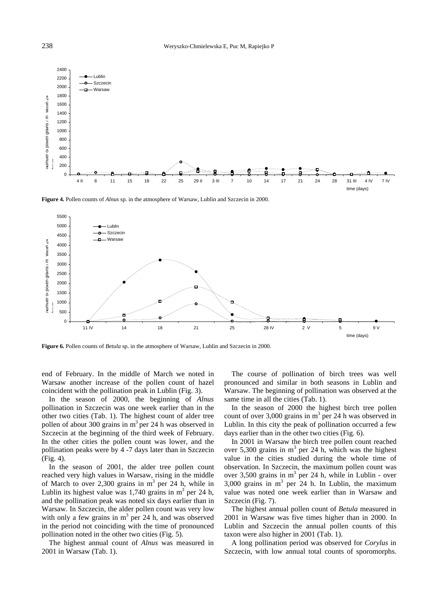

**Figure 4.** Pollen counts of *Alnus* sp. in the atmosphere of Warsaw, Lublin and Szczecin in 2000.



**Figure 6.** Pollen counts of *Betula* sp. in the atmosphere of Warsaw, Lublin and Szczecin in 2000.

end of February. In the middle of March we noted in Warsaw another increase of the pollen count of hazel coincident with the pollination peak in Lublin (Fig. 3).

In the season of 2000, the beginning of *Alnus* pollination in Szczecin was one week earlier than in the other two cities (Tab. 1). The highest count of alder tree pollen of about 300 grains in  $m<sup>3</sup>$  per 24 h was observed in Szczecin at the beginning of the third week of February. In the other cities the pollen count was lower, and the pollination peaks were by 4 -7 days later than in Szczecin (Fig. 4).

In the season of 2001, the alder tree pollen count reached very high values in Warsaw, rising in the middle of March to over 2,300 grains in  $m<sup>3</sup>$  per 24 h, while in Lublin its highest value was  $1,740$  grains in m<sup>3</sup> per 24 h, and the pollination peak was noted six days earlier than in Warsaw. In Szczecin, the alder pollen count was very low with only a few grains in  $m<sup>3</sup>$  per 24 h, and was observed in the period not coinciding with the time of pronounced pollination noted in the other two cities (Fig. 5).

The highest annual count of *Alnus* was measured in 2001 in Warsaw (Tab. 1).

The course of pollination of birch trees was well pronounced and similar in both seasons in Lublin and Warsaw. The beginning of pollination was observed at the same time in all the cities (Tab. 1).

In the season of 2000 the highest birch tree pollen count of over  $3,000$  grains in  $m<sup>3</sup>$  per 24 h was observed in Lublin. In this city the peak of pollination occurred a few days earlier than in the other two cities (Fig. 6).

In 2001 in Warsaw the birch tree pollen count reached over 5,300 grains in  $m<sup>3</sup>$  per 24 h, which was the highest value in the cities studied during the whole time of observation. In Szczecin, the maximum pollen count was over 3,500 grains in  $m<sup>3</sup>$  per 24 h, while in Lublin - over 3,000 grains in  $m<sup>3</sup>$  per 24 h. In Lublin, the maximum value was noted one week earlier than in Warsaw and Szczecin (Fig. 7).

The highest annual pollen count of *Betula* measured in 2001 in Warsaw was five times higher than in 2000. In Lublin and Szczecin the annual pollen counts of this taxon were also higher in 2001 (Tab. 1).

A long pollination period was observed for *Corylus* in Szczecin, with low annual total counts of sporomorphs.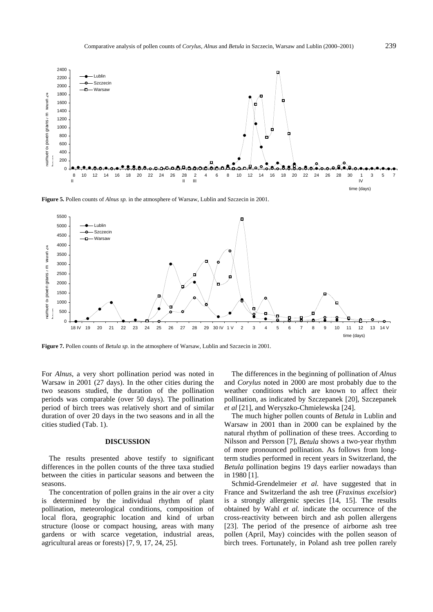

**Figure 5.** Pollen counts of *Alnus sp.* in the atmosphere of Warsaw, Lublin and Szczecin in 2001.



**Figure 7.** Pollen counts of *Betula sp.* in the atmosphere of Warsaw, Lublin and Szczecin in 2001.

For *Alnus*, a very short pollination period was noted in Warsaw in 2001 (27 days). In the other cities during the two seasons studied, the duration of the pollination periods was comparable (over 50 days). The pollination period of birch trees was relatively short and of similar duration of over 20 days in the two seasons and in all the cities studied (Tab. 1).

#### **DISCUSSION**

The results presented above testify to significant differences in the pollen counts of the three taxa studied between the cities in particular seasons and between the seasons.

The concentration of pollen grains in the air over a city is determined by the individual rhythm of plant pollination, meteorological conditions, composition of local flora, geographic location and kind of urban structure (loose or compact housing, areas with many gardens or with scarce vegetation, industrial areas, agricultural areas or forests) [7, 9, 17, 24, 25].

The differences in the beginning of pollination of *Alnus* and *Corylus* noted in 2000 are most probably due to the weather conditions which are known to affect their pollination, as indicated by Szczepanek [20], Szczepanek *et al* [21], and Weryszko-Chmielewska [24].

The much higher pollen counts of *Betula* in Lublin and Warsaw in 2001 than in 2000 can be explained by the natural rhythm of pollination of these trees. According to Nilsson and Persson [7], *Betula* shows a two-year rhythm of more pronounced pollination. As follows from longterm studies performed in recent years in Switzerland, the *Betula* pollination begins 19 days earlier nowadays than in 1980 [1].

Schmid-Grendelmeier *et al.* have suggested that in France and Switzerland the ash tree (*Fraxinus excelsior*) is a strongly allergenic species [14, 15]. The results obtained by Wahl *et al.* indicate the occurrence of the cross-reactivity between birch and ash pollen allergens [23]. The period of the presence of airborne ash tree pollen (April, May) coincides with the pollen season of birch trees. Fortunately, in Poland ash tree pollen rarely